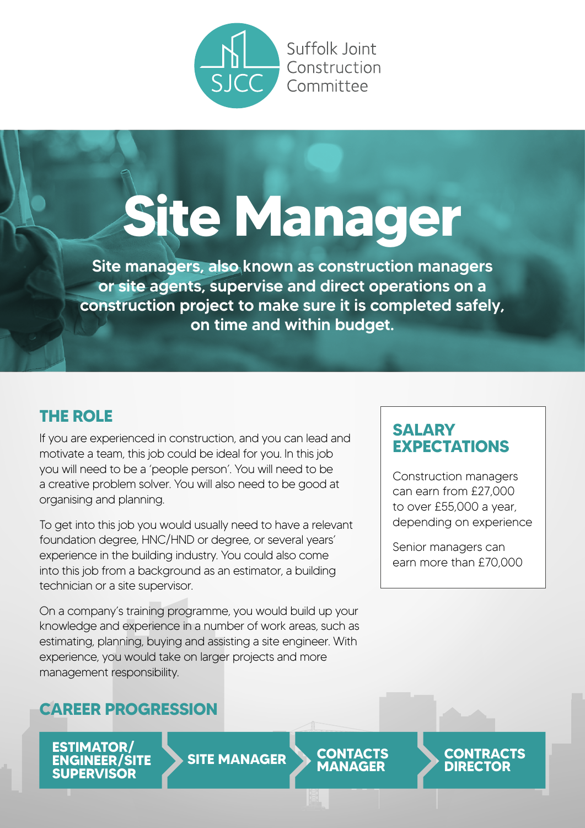

# **Site Manager**

Site managers, also known as construction managers or site agents, supervise and direct operations on a construction project to make sure it is completed safely, on time and within budget.

#### **THE ROLE**

If you are experienced in construction, and you can lead and motivate a team, this job could be ideal for you. In this job you will need to be a 'people person'. You will need to be a creative problem solver. You will also need to be good at organising and planning.

To get into this job you would usually need to have a relevant foundation degree, HNC/HND or degree, or several years' experience in the building industry. You could also come into this job from a background as an estimator, a building technician or a site supervisor.

On a company's training programme, you would build up your knowledge and experience in a number of work areas, such as estimating, planning, buying and assisting a site engineer. With experience, you would take on larger projects and more management responsibility.

#### **CAREER PROGRESSION**

**ESTIMATOR/ ENGINEER/SITE SUPERVISOR**

**SITE MANAGER CONTACTS**

**MANAGER**

**SALARY EXPECTATIONS**

Construction managers can earn from £27,000 to over £55,000 a year, depending on experience

Senior managers can earn more than £70,000

> **CONTRACTS DIRECTOR**